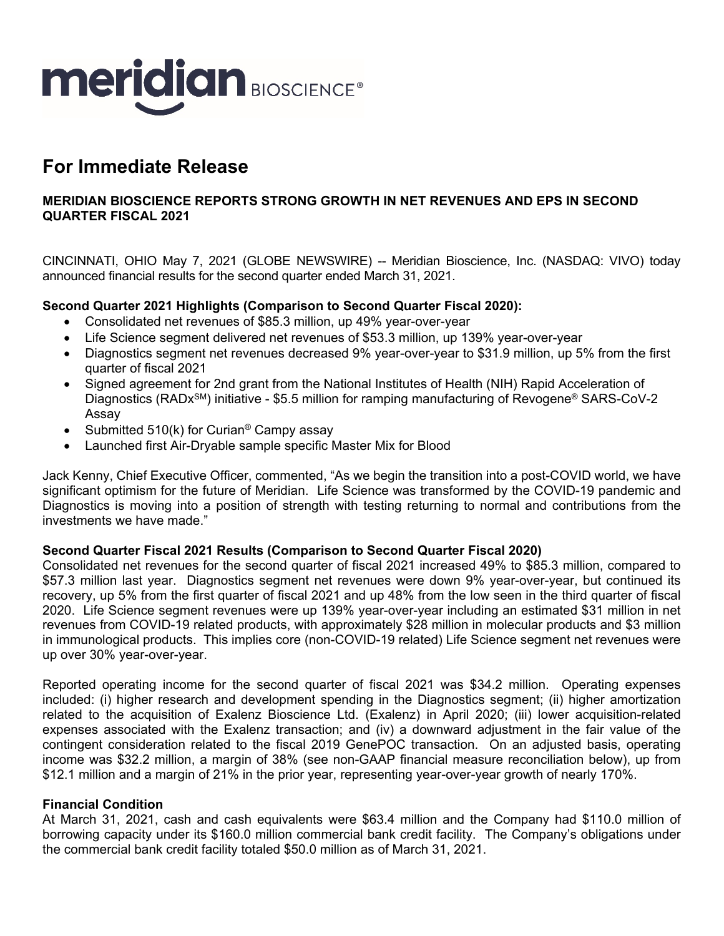# **meridian BIOSCIENCE®**

# **For Immediate Release**

# **MERIDIAN BIOSCIENCE REPORTS STRONG GROWTH IN NET REVENUES AND EPS IN SECOND QUARTER FISCAL 2021**

CINCINNATI, OHIO May 7, 2021 (GLOBE NEWSWIRE) -- Meridian Bioscience, Inc. (NASDAQ: VIVO) today announced financial results for the second quarter ended March 31, 2021.

# **Second Quarter 2021 Highlights (Comparison to Second Quarter Fiscal 2020):**

- Consolidated net revenues of \$85.3 million, up 49% year-over-year
- Life Science segment delivered net revenues of \$53.3 million, up 139% year-over-year
- Diagnostics segment net revenues decreased 9% year-over-year to \$31.9 million, up 5% from the first quarter of fiscal 2021
- Signed agreement for 2nd grant from the National Institutes of Health (NIH) Rapid Acceleration of Diagnostics (RADx<sup>SM</sup>) initiative - \$5.5 million for ramping manufacturing of Revogene<sup>®</sup> SARS-CoV-2 Assay
- Submitted 510(k) for Curian<sup>®</sup> Campy assay
- Launched first Air-Dryable sample specific Master Mix for Blood

Jack Kenny, Chief Executive Officer, commented, "As we begin the transition into a post-COVID world, we have significant optimism for the future of Meridian. Life Science was transformed by the COVID-19 pandemic and Diagnostics is moving into a position of strength with testing returning to normal and contributions from the investments we have made."

#### **Second Quarter Fiscal 2021 Results (Comparison to Second Quarter Fiscal 2020)**

Consolidated net revenues for the second quarter of fiscal 2021 increased 49% to \$85.3 million, compared to \$57.3 million last year. Diagnostics segment net revenues were down 9% year-over-year, but continued its recovery, up 5% from the first quarter of fiscal 2021 and up 48% from the low seen in the third quarter of fiscal 2020. Life Science segment revenues were up 139% year-over-year including an estimated \$31 million in net revenues from COVID-19 related products, with approximately \$28 million in molecular products and \$3 million in immunological products. This implies core (non-COVID-19 related) Life Science segment net revenues were up over 30% year-over-year.

Reported operating income for the second quarter of fiscal 2021 was \$34.2 million. Operating expenses included: (i) higher research and development spending in the Diagnostics segment; (ii) higher amortization related to the acquisition of Exalenz Bioscience Ltd. (Exalenz) in April 2020; (iii) lower acquisition-related expenses associated with the Exalenz transaction; and (iv) a downward adjustment in the fair value of the contingent consideration related to the fiscal 2019 GenePOC transaction. On an adjusted basis, operating income was \$32.2 million, a margin of 38% (see non-GAAP financial measure reconciliation below), up from \$12.1 million and a margin of 21% in the prior year, representing year-over-year growth of nearly 170%.

#### **Financial Condition**

At March 31, 2021, cash and cash equivalents were \$63.4 million and the Company had \$110.0 million of borrowing capacity under its \$160.0 million commercial bank credit facility. The Company's obligations under the commercial bank credit facility totaled \$50.0 million as of March 31, 2021.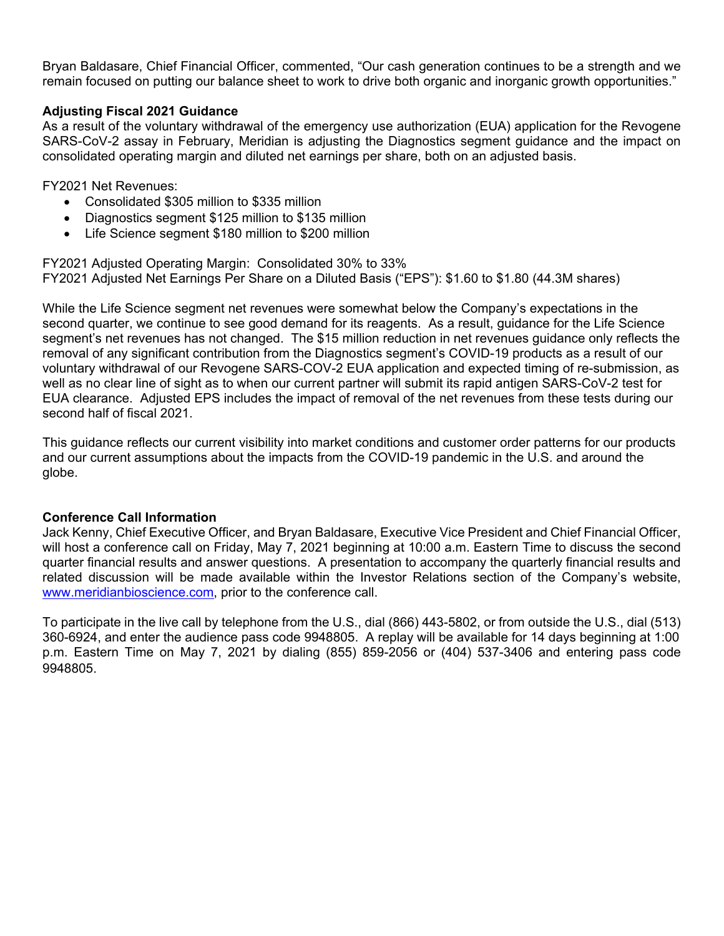Bryan Baldasare, Chief Financial Officer, commented, "Our cash generation continues to be a strength and we remain focused on putting our balance sheet to work to drive both organic and inorganic growth opportunities."

#### **Adjusting Fiscal 2021 Guidance**

As a result of the voluntary withdrawal of the emergency use authorization (EUA) application for the Revogene SARS-CoV-2 assay in February, Meridian is adjusting the Diagnostics segment guidance and the impact on consolidated operating margin and diluted net earnings per share, both on an adjusted basis.

FY2021 Net Revenues:

- Consolidated \$305 million to \$335 million
- Diagnostics segment \$125 million to \$135 million
- Life Science segment \$180 million to \$200 million

FY2021 Adjusted Operating Margin: Consolidated 30% to 33% FY2021 Adjusted Net Earnings Per Share on a Diluted Basis ("EPS"): \$1.60 to \$1.80 (44.3M shares)

While the Life Science segment net revenues were somewhat below the Company's expectations in the second quarter, we continue to see good demand for its reagents. As a result, guidance for the Life Science segment's net revenues has not changed. The \$15 million reduction in net revenues guidance only reflects the removal of any significant contribution from the Diagnostics segment's COVID-19 products as a result of our voluntary withdrawal of our Revogene SARS-COV-2 EUA application and expected timing of re-submission, as well as no clear line of sight as to when our current partner will submit its rapid antigen SARS-CoV-2 test for EUA clearance. Adjusted EPS includes the impact of removal of the net revenues from these tests during our second half of fiscal 2021.

This guidance reflects our current visibility into market conditions and customer order patterns for our products and our current assumptions about the impacts from the COVID-19 pandemic in the U.S. and around the globe.

#### **Conference Call Information**

Jack Kenny, Chief Executive Officer, and Bryan Baldasare, Executive Vice President and Chief Financial Officer, will host a conference call on Friday, May 7, 2021 beginning at 10:00 a.m. Eastern Time to discuss the second quarter financial results and answer questions. A presentation to accompany the quarterly financial results and related discussion will be made available within the Investor Relations section of the Company's website, www.meridianbioscience.com, prior to the conference call.

To participate in the live call by telephone from the U.S., dial (866) 443-5802, or from outside the U.S., dial (513) 360-6924, and enter the audience pass code 9948805. A replay will be available for 14 days beginning at 1:00 p.m. Eastern Time on May 7, 2021 by dialing (855) 859-2056 or (404) 537-3406 and entering pass code 9948805.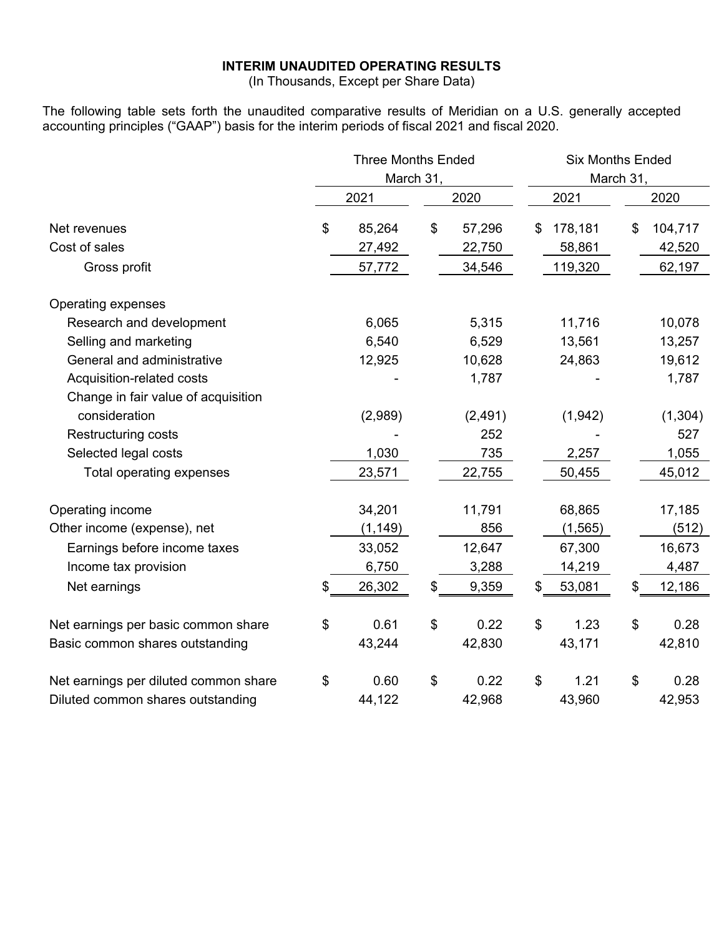## **INTERIM UNAUDITED OPERATING RESULTS**

(In Thousands, Except per Share Data)

The following table sets forth the unaudited comparative results of Meridian on a U.S. generally accepted accounting principles ("GAAP") basis for the interim periods of fiscal 2021 and fiscal 2020.

| <b>Three Months Ended</b>             |           |          |      |          | <b>Six Months Ended</b> |          |           |          |  |  |
|---------------------------------------|-----------|----------|------|----------|-------------------------|----------|-----------|----------|--|--|
|                                       | March 31, |          |      |          |                         |          | March 31, |          |  |  |
|                                       | 2021      |          | 2020 |          | 2021                    |          | 2020      |          |  |  |
| Net revenues                          | \$        | 85,264   | \$   | 57,296   | \$                      | 178,181  | \$        | 104,717  |  |  |
| Cost of sales                         |           | 27,492   |      | 22,750   |                         | 58,861   |           | 42,520   |  |  |
| Gross profit                          |           | 57,772   |      | 34,546   |                         | 119,320  |           | 62,197   |  |  |
| Operating expenses                    |           |          |      |          |                         |          |           |          |  |  |
| Research and development              |           | 6,065    |      | 5,315    |                         | 11,716   |           | 10,078   |  |  |
| Selling and marketing                 |           | 6,540    |      | 6,529    |                         | 13,561   |           | 13,257   |  |  |
| General and administrative            |           | 12,925   |      | 10,628   |                         | 24,863   |           | 19,612   |  |  |
| Acquisition-related costs             |           |          |      | 1,787    |                         |          |           | 1,787    |  |  |
| Change in fair value of acquisition   |           |          |      |          |                         |          |           |          |  |  |
| consideration                         |           | (2,989)  |      | (2, 491) |                         | (1,942)  |           | (1, 304) |  |  |
| Restructuring costs                   |           |          |      | 252      |                         |          |           | 527      |  |  |
| Selected legal costs                  |           | 1,030    |      | 735      |                         | 2,257    |           | 1,055    |  |  |
| Total operating expenses              |           | 23,571   |      | 22,755   |                         | 50,455   |           | 45,012   |  |  |
| Operating income                      |           | 34,201   |      | 11,791   |                         | 68,865   |           | 17,185   |  |  |
| Other income (expense), net           |           | (1, 149) |      | 856      |                         | (1, 565) |           | (512)    |  |  |
| Earnings before income taxes          |           | 33,052   |      | 12,647   |                         | 67,300   |           | 16,673   |  |  |
| Income tax provision                  |           | 6,750    |      | 3,288    |                         | 14,219   |           | 4,487    |  |  |
| Net earnings                          | \$        | 26,302   | \$   | 9,359    | \$                      | 53,081   | \$        | 12,186   |  |  |
| Net earnings per basic common share   | \$        | 0.61     | \$   | 0.22     | \$                      | 1.23     | \$        | 0.28     |  |  |
| Basic common shares outstanding       |           | 43,244   |      | 42,830   |                         | 43,171   |           | 42,810   |  |  |
| Net earnings per diluted common share | \$        | 0.60     | \$   | 0.22     | \$                      | 1.21     | \$        | 0.28     |  |  |
| Diluted common shares outstanding     |           | 44,122   |      | 42,968   |                         | 43,960   |           | 42,953   |  |  |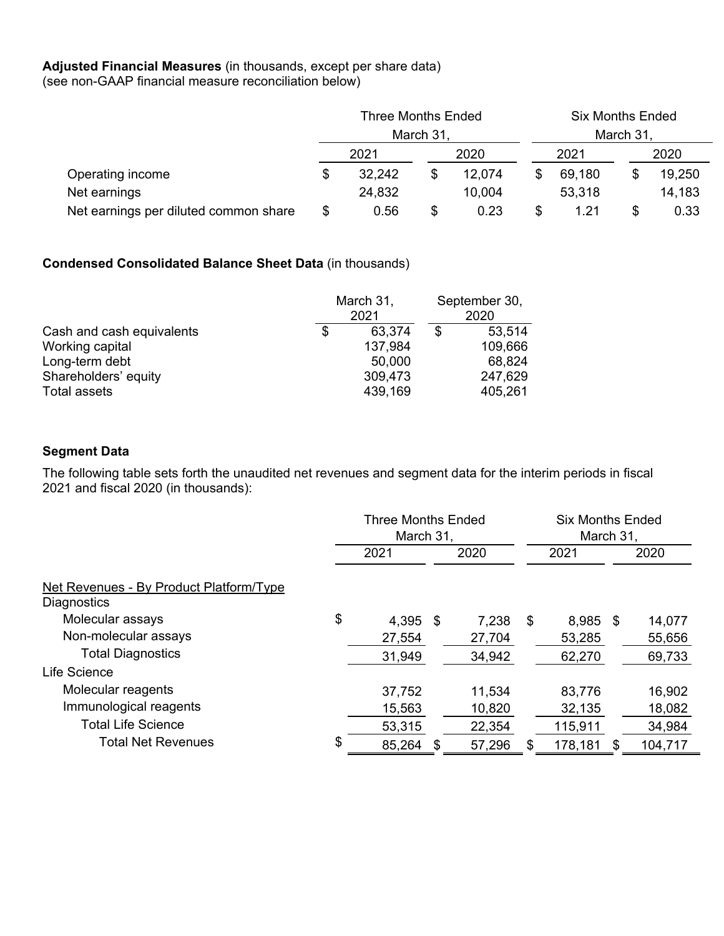#### **Adjusted Financial Measures** (in thousands, except per share data) (see non-GAAP financial measure reconciliation below)

|                                       | <b>Three Months Ended</b> |        |     |        |           | <b>Six Months Ended</b> |   |        |  |  |
|---------------------------------------|---------------------------|--------|-----|--------|-----------|-------------------------|---|--------|--|--|
|                                       | March 31,                 |        |     |        | March 31, |                         |   |        |  |  |
|                                       |                           | 2021   |     | 2020   |           | 2021                    |   | 2020   |  |  |
| Operating income                      |                           | 32,242 |     | 12,074 |           | 69,180                  |   | 19,250 |  |  |
| Net earnings                          |                           | 24,832 |     | 10,004 |           | 53,318                  |   | 14,183 |  |  |
| Net earnings per diluted common share | \$.                       | 0.56   | \$. | 0.23   |           | 1.21                    | S | 0.33   |  |  |

# **Condensed Consolidated Balance Sheet Data** (in thousands)

|                           | March 31,<br>2021 |         |    | September 30,<br>2020 |  |  |  |
|---------------------------|-------------------|---------|----|-----------------------|--|--|--|
| Cash and cash equivalents | S                 | 63,374  | \$ | 53,514                |  |  |  |
| Working capital           |                   | 137,984 |    | 109,666               |  |  |  |
| Long-term debt            |                   | 50,000  |    | 68,824                |  |  |  |
| Shareholders' equity      |                   | 309,473 |    | 247,629               |  |  |  |
| Total assets              |                   | 439,169 |    | 405,261               |  |  |  |

# **Segment Data**

The following table sets forth the unaudited net revenues and segment data for the interim periods in fiscal 2021 and fiscal 2020 (in thousands):

|                                         |    | <b>Three Months Ended</b><br>March 31, |  |        |    | <b>Six Months Ended</b><br>March 31, |      |         |  |
|-----------------------------------------|----|----------------------------------------|--|--------|----|--------------------------------------|------|---------|--|
|                                         |    | 2021                                   |  | 2020   |    | 2021                                 |      | 2020    |  |
| Net Revenues - By Product Platform/Type |    |                                        |  |        |    |                                      |      |         |  |
| Diagnostics                             |    |                                        |  |        |    |                                      |      |         |  |
| Molecular assays                        | \$ | 4,395 \$                               |  | 7,238  | \$ | 8,985                                | - \$ | 14,077  |  |
| Non-molecular assays                    |    | 27,554                                 |  | 27,704 |    | 53,285                               |      | 55,656  |  |
| <b>Total Diagnostics</b>                |    | 31,949                                 |  | 34,942 |    | 62,270                               |      | 69,733  |  |
| Life Science                            |    |                                        |  |        |    |                                      |      |         |  |
| Molecular reagents                      |    | 37,752                                 |  | 11,534 |    | 83,776                               |      | 16,902  |  |
| Immunological reagents                  |    | 15,563                                 |  | 10,820 |    | 32,135                               |      | 18,082  |  |
| <b>Total Life Science</b>               |    | 53,315                                 |  | 22,354 |    | 115,911                              |      | 34,984  |  |
| Total Net Revenues                      | \$ | 85,264                                 |  | 57,296 | S  | 178,181                              |      | 104.717 |  |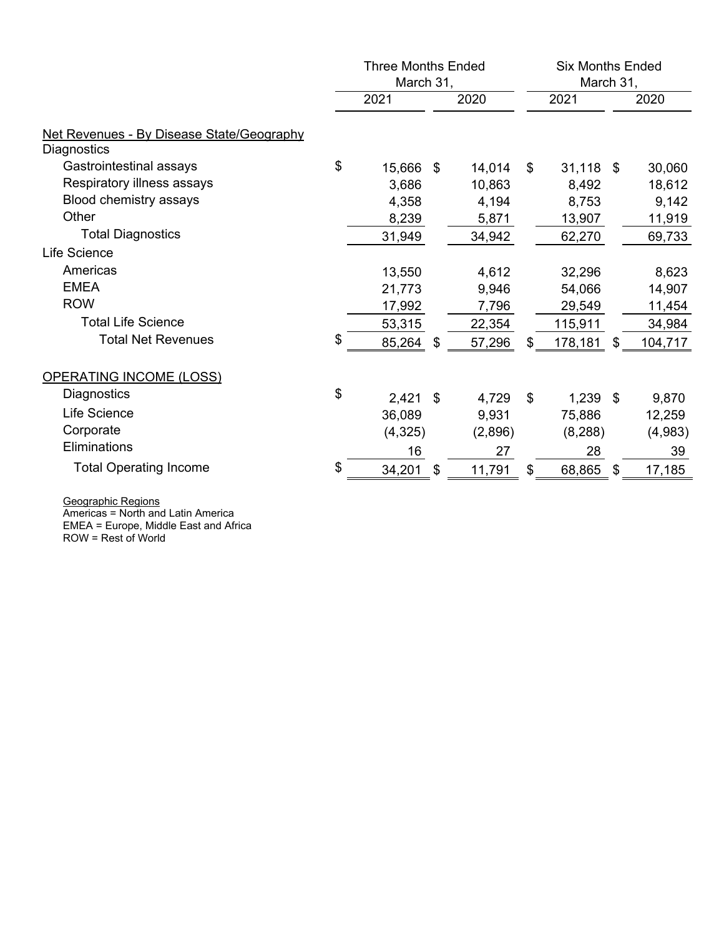|                                                                        | <b>Three Months Ended</b><br>March 31, |         |                |         | <b>Six Months Ended</b><br>March 31, |             |      |         |
|------------------------------------------------------------------------|----------------------------------------|---------|----------------|---------|--------------------------------------|-------------|------|---------|
|                                                                        | 2021                                   |         |                | 2020    |                                      | 2021        |      | 2020    |
| <u>Net Revenues - By Disease State/Geography</u><br><b>Diagnostics</b> |                                        |         |                |         |                                      |             |      |         |
| Gastrointestinal assays                                                | \$                                     | 15,666  | \$             | 14,014  | \$                                   | $31,118$ \$ |      | 30,060  |
| Respiratory illness assays                                             |                                        | 3,686   |                | 10,863  |                                      | 8,492       |      | 18,612  |
| Blood chemistry assays                                                 |                                        | 4,358   |                | 4,194   |                                      | 8,753       |      | 9,142   |
| Other                                                                  |                                        | 8,239   |                | 5,871   |                                      | 13,907      |      | 11,919  |
| <b>Total Diagnostics</b>                                               |                                        | 31,949  |                | 34,942  |                                      | 62,270      |      | 69,733  |
| Life Science                                                           |                                        |         |                |         |                                      |             |      |         |
| Americas                                                               |                                        | 13,550  |                | 4,612   |                                      | 32,296      |      | 8,623   |
| <b>EMEA</b>                                                            |                                        | 21,773  |                | 9,946   |                                      | 54,066      |      | 14,907  |
| <b>ROW</b>                                                             |                                        | 17,992  |                | 7,796   |                                      | 29,549      |      | 11,454  |
| <b>Total Life Science</b>                                              |                                        | 53,315  |                | 22,354  |                                      | 115,911     |      | 34,984  |
| <b>Total Net Revenues</b>                                              | \$                                     | 85,264  | \$             | 57,296  | \$                                   | 178,181     | \$   | 104,717 |
| <b>OPERATING INCOME (LOSS)</b>                                         |                                        |         |                |         |                                      |             |      |         |
| Diagnostics                                                            | \$                                     | 2,421   | $\mathfrak{L}$ | 4,729   | \$                                   | 1,239       | - \$ | 9,870   |
| Life Science                                                           |                                        | 36,089  |                | 9,931   |                                      | 75,886      |      | 12,259  |
| Corporate                                                              |                                        | (4,325) |                | (2,896) |                                      | (8, 288)    |      | (4,983) |
| Eliminations                                                           |                                        | 16      |                | 27      |                                      | 28          |      | 39      |
| <b>Total Operating Income</b>                                          | \$                                     | 34,201  | \$             | 11,791  | \$                                   | 68,865      | \$   | 17,185  |

Geographic Regions

Americas = North and Latin America EMEA = Europe, Middle East and Africa ROW = Rest of World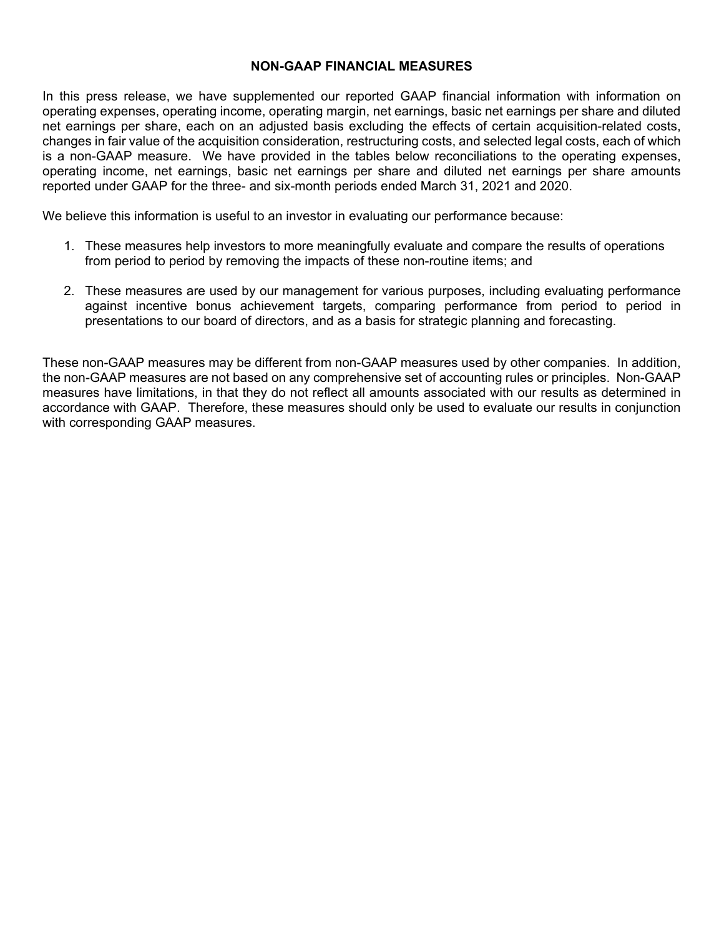#### **NON-GAAP FINANCIAL MEASURES**

In this press release, we have supplemented our reported GAAP financial information with information on operating expenses, operating income, operating margin, net earnings, basic net earnings per share and diluted net earnings per share, each on an adjusted basis excluding the effects of certain acquisition-related costs, changes in fair value of the acquisition consideration, restructuring costs, and selected legal costs, each of which is a non-GAAP measure. We have provided in the tables below reconciliations to the operating expenses, operating income, net earnings, basic net earnings per share and diluted net earnings per share amounts reported under GAAP for the three- and six-month periods ended March 31, 2021 and 2020.

We believe this information is useful to an investor in evaluating our performance because:

- 1. These measures help investors to more meaningfully evaluate and compare the results of operations from period to period by removing the impacts of these non-routine items; and
- 2. These measures are used by our management for various purposes, including evaluating performance against incentive bonus achievement targets, comparing performance from period to period in presentations to our board of directors, and as a basis for strategic planning and forecasting.

These non-GAAP measures may be different from non-GAAP measures used by other companies. In addition, the non-GAAP measures are not based on any comprehensive set of accounting rules or principles. Non-GAAP measures have limitations, in that they do not reflect all amounts associated with our results as determined in accordance with GAAP. Therefore, these measures should only be used to evaluate our results in conjunction with corresponding GAAP measures.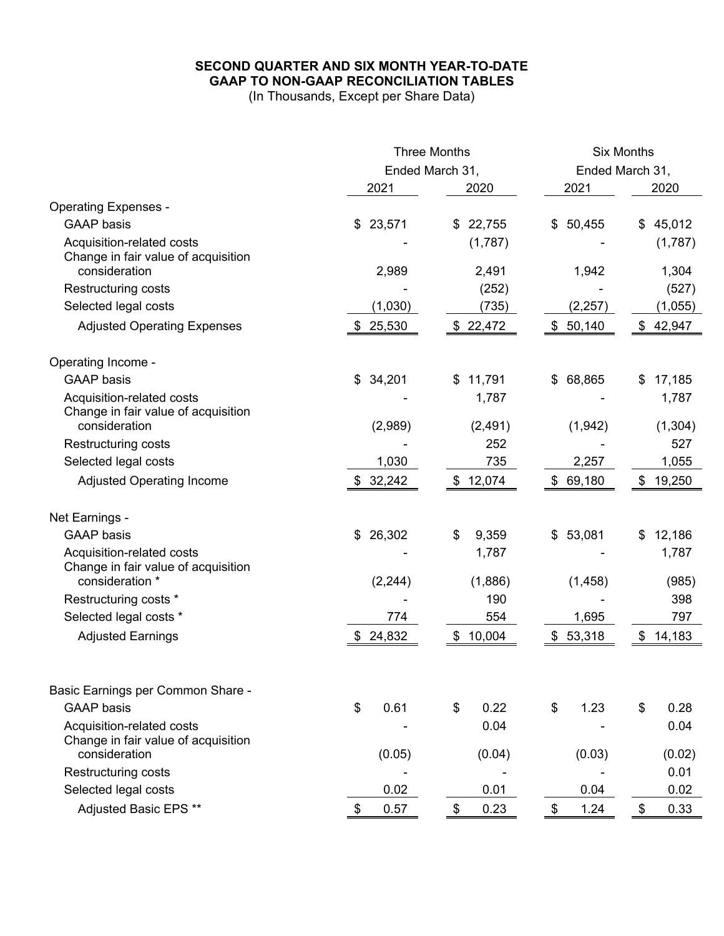# **SECOND QUARTER AND SIX MONTH YEAR-TO-DATE GAAP TO NON-GAAP RECONCILIATION TABLES**

(In Thousands, Except per Share Data)

|                                                      |              | <b>Three Months</b> | <b>Six Months</b> |                 |  |  |  |
|------------------------------------------------------|--------------|---------------------|-------------------|-----------------|--|--|--|
|                                                      |              | Ended March 31,     |                   | Ended March 31, |  |  |  |
|                                                      | 2021         | 2020                | 2021              | 2020            |  |  |  |
| <b>Operating Expenses -</b>                          |              |                     |                   |                 |  |  |  |
| <b>GAAP</b> basis                                    | \$23,571     | \$22,755            | 50,455<br>\$      | \$45,012        |  |  |  |
| Acquisition-related costs                            |              | (1,787)             |                   | (1,787)         |  |  |  |
| Change in fair value of acquisition                  |              |                     |                   |                 |  |  |  |
| consideration                                        | 2,989        | 2,491               | 1,942             | 1,304           |  |  |  |
| <b>Restructuring costs</b><br>Selected legal costs   |              | (252)               |                   | (527)           |  |  |  |
|                                                      | (1,030)      | (735)               | (2, 257)          | (1,055)         |  |  |  |
| <b>Adjusted Operating Expenses</b>                   | 25,530<br>\$ | \$22,472            | 50,140<br>\$      | 42,947<br>\$    |  |  |  |
| Operating Income -                                   |              |                     |                   |                 |  |  |  |
| <b>GAAP</b> basis                                    | \$34,201     | 11,791<br>\$        | 68,865<br>\$      | 17,185<br>\$    |  |  |  |
| Acquisition-related costs                            |              | 1,787               |                   | 1,787           |  |  |  |
| Change in fair value of acquisition<br>consideration | (2,989)      | (2, 491)            | (1, 942)          | (1, 304)        |  |  |  |
| Restructuring costs                                  |              | 252                 |                   | 527             |  |  |  |
| Selected legal costs                                 | 1,030        | 735                 | 2,257             | 1,055           |  |  |  |
| <b>Adjusted Operating Income</b>                     | \$32,242     | \$12,074            | 69,180            | 19,250<br>\$    |  |  |  |
|                                                      |              |                     |                   |                 |  |  |  |
| Net Earnings -                                       |              |                     |                   |                 |  |  |  |
| <b>GAAP</b> basis                                    | 26,302<br>\$ | 9,359<br>\$         | 53,081<br>\$      | 12,186<br>\$    |  |  |  |
| Acquisition-related costs                            |              | 1,787               |                   | 1,787           |  |  |  |
| Change in fair value of acquisition                  |              |                     |                   |                 |  |  |  |
| consideration *                                      | (2, 244)     | (1,886)             | (1, 458)          | (985)           |  |  |  |
| Restructuring costs *                                |              | 190                 |                   | 398             |  |  |  |
| Selected legal costs *                               | 774          | 554                 | 1,695             | 797             |  |  |  |
| <b>Adjusted Earnings</b>                             | \$24,832     | 10,004<br>\$        | 53,318<br>\$      | \$<br>14,183    |  |  |  |
| Basic Earnings per Common Share -                    |              |                     |                   |                 |  |  |  |
| <b>GAAP</b> basis                                    | \$<br>0.61   | \$<br>0.22          | \$<br>1.23        | 0.28<br>\$      |  |  |  |
| Acquisition-related costs                            |              | 0.04                |                   | 0.04            |  |  |  |
| Change in fair value of acquisition                  |              |                     |                   |                 |  |  |  |
| consideration                                        | (0.05)       | (0.04)              | (0.03)            | (0.02)          |  |  |  |
| Restructuring costs                                  |              |                     |                   | 0.01            |  |  |  |
| Selected legal costs                                 | 0.02         | 0.01                | 0.04              | 0.02            |  |  |  |
| Adjusted Basic EPS **                                | \$<br>0.57   | 0.23<br>\$          | 1.24<br>\$        | 0.33<br>\$      |  |  |  |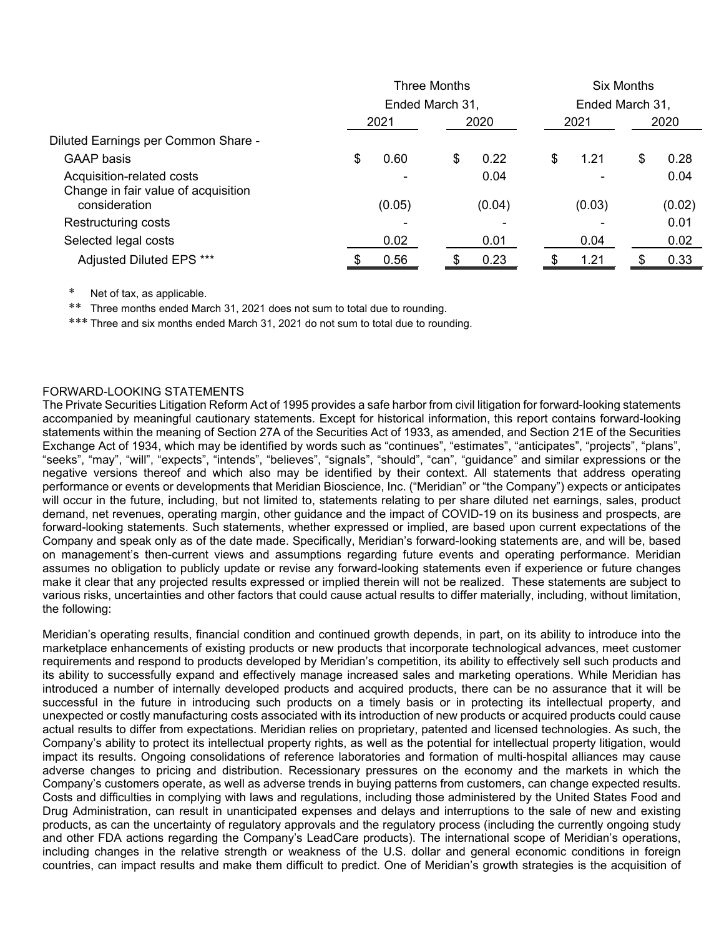|                                                                  | <b>Three Months</b> |        |      |        |                 | <b>Six Months</b> |    |        |  |  |
|------------------------------------------------------------------|---------------------|--------|------|--------|-----------------|-------------------|----|--------|--|--|
|                                                                  | Ended March 31,     |        |      |        | Ended March 31, |                   |    |        |  |  |
|                                                                  | 2021                |        | 2020 |        | 2021            |                   |    | 2020   |  |  |
| Diluted Earnings per Common Share -                              |                     |        |      |        |                 |                   |    |        |  |  |
| <b>GAAP</b> basis                                                | \$                  | 0.60   | \$   | 0.22   | S               | 1.21              | \$ | 0.28   |  |  |
| Acquisition-related costs<br>Change in fair value of acquisition |                     |        |      | 0.04   |                 |                   |    | 0.04   |  |  |
| consideration                                                    |                     | (0.05) |      | (0.04) |                 | (0.03)            |    | (0.02) |  |  |
| Restructuring costs                                              |                     |        |      |        |                 |                   |    | 0.01   |  |  |
| Selected legal costs                                             |                     | 0.02   |      | 0.01   |                 | 0.04              |    | 0.02   |  |  |
| Adjusted Diluted EPS ***                                         |                     | 0.56   | S    | 0.23   |                 | 1.21              | S  | 0.33   |  |  |

Net of tax, as applicable.

\*\* Three months ended March 31, 2021 does not sum to total due to rounding.

\*\*\* Three and six months ended March 31, 2021 do not sum to total due to rounding.

#### FORWARD-LOOKING STATEMENTS

The Private Securities Litigation Reform Act of 1995 provides a safe harbor from civil litigation for forward-looking statements accompanied by meaningful cautionary statements. Except for historical information, this report contains forward-looking statements within the meaning of Section 27A of the Securities Act of 1933, as amended, and Section 21E of the Securities Exchange Act of 1934, which may be identified by words such as "continues", "estimates", "anticipates", "projects", "plans", "seeks", "may", "will", "expects", "intends", "believes", "signals", "should", "can", "guidance" and similar expressions or the negative versions thereof and which also may be identified by their context. All statements that address operating performance or events or developments that Meridian Bioscience, Inc. ("Meridian" or "the Company") expects or anticipates will occur in the future, including, but not limited to, statements relating to per share diluted net earnings, sales, product demand, net revenues, operating margin, other guidance and the impact of COVID-19 on its business and prospects, are forward-looking statements. Such statements, whether expressed or implied, are based upon current expectations of the Company and speak only as of the date made. Specifically, Meridian's forward-looking statements are, and will be, based on management's then-current views and assumptions regarding future events and operating performance. Meridian assumes no obligation to publicly update or revise any forward-looking statements even if experience or future changes make it clear that any projected results expressed or implied therein will not be realized. These statements are subject to various risks, uncertainties and other factors that could cause actual results to differ materially, including, without limitation, the following:

Meridian's operating results, financial condition and continued growth depends, in part, on its ability to introduce into the marketplace enhancements of existing products or new products that incorporate technological advances, meet customer requirements and respond to products developed by Meridian's competition, its ability to effectively sell such products and its ability to successfully expand and effectively manage increased sales and marketing operations. While Meridian has introduced a number of internally developed products and acquired products, there can be no assurance that it will be successful in the future in introducing such products on a timely basis or in protecting its intellectual property, and unexpected or costly manufacturing costs associated with its introduction of new products or acquired products could cause actual results to differ from expectations. Meridian relies on proprietary, patented and licensed technologies. As such, the Company's ability to protect its intellectual property rights, as well as the potential for intellectual property litigation, would impact its results. Ongoing consolidations of reference laboratories and formation of multi-hospital alliances may cause adverse changes to pricing and distribution. Recessionary pressures on the economy and the markets in which the Company's customers operate, as well as adverse trends in buying patterns from customers, can change expected results. Costs and difficulties in complying with laws and regulations, including those administered by the United States Food and Drug Administration, can result in unanticipated expenses and delays and interruptions to the sale of new and existing products, as can the uncertainty of regulatory approvals and the regulatory process (including the currently ongoing study and other FDA actions regarding the Company's LeadCare products). The international scope of Meridian's operations, including changes in the relative strength or weakness of the U.S. dollar and general economic conditions in foreign countries, can impact results and make them difficult to predict. One of Meridian's growth strategies is the acquisition of